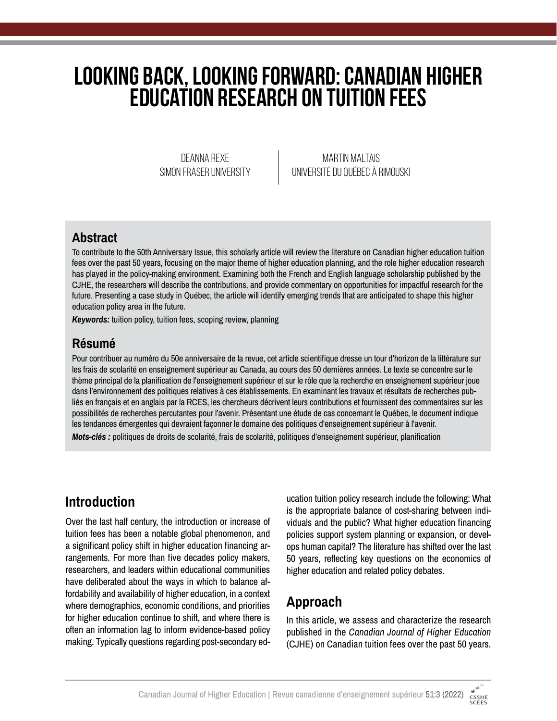# **Looking Back, Looking Forward: Canadian Higher Education Research on Tuition Fees**

Deanna Rexe Simon Fraser University

Martin Maltais Université du Québec à Rimouski

### **Abstract**

To contribute to the 50th Anniversary Issue, this scholarly article will review the literature on Canadian higher education tuition fees over the past 50 years, focusing on the major theme of higher education planning, and the role higher education research has played in the policy-making environment. Examining both the French and English language scholarship published by the CJHE, the researchers will describe the contributions, and provide commentary on opportunities for impactful research for the future. Presenting a case study in Québec, the article will identify emerging trends that are anticipated to shape this higher education policy area in the future.

*Keywords:* tuition policy, tuition fees, scoping review, planning

### **Résumé**

Pour contribuer au numéro du 50e anniversaire de la revue, cet article scientifique dresse un tour d'horizon de la littérature sur les frais de scolarité en enseignement supérieur au Canada, au cours des 50 dernières années. Le texte se concentre sur le thème principal de la planification de l'enseignement supérieur et sur le rôle que la recherche en enseignement supérieur joue dans l'environnement des politiques relatives à ces établissements. En examinant les travaux et résultats de recherches publiés en français et en anglais par la RCES, les chercheurs décrivent leurs contributions et fournissent des commentaires sur les possibilités de recherches percutantes pour l'avenir. Présentant une étude de cas concernant le Québec, le document indique les tendances émergentes qui devraient façonner le domaine des politiques d'enseignement supérieur à l'avenir. *Mots-clés :* politiques de droits de scolarité, frais de scolarité, politiques d'enseignement supérieur, planification

# **Introduction**

Over the last half century, the introduction or increase of tuition fees has been a notable global phenomenon, and a significant policy shift in higher education financing arrangements. For more than five decades policy makers, researchers, and leaders within educational communities have deliberated about the ways in which to balance affordability and availability of higher education, in a context where demographics, economic conditions, and priorities for higher education continue to shift, and where there is often an information lag to inform evidence-based policy making. Typically questions regarding post-secondary education tuition policy research include the following: What is the appropriate balance of cost-sharing between individuals and the public? What higher education financing policies support system planning or expansion, or develops human capital? The literature has shifted over the last 50 years, reflecting key questions on the economics of higher education and related policy debates.

# **Approach**

In this article, we assess and characterize the research published in the *Canadian Journal of Higher Education*  (CJHE) on Canadian tuition fees over the past 50 years.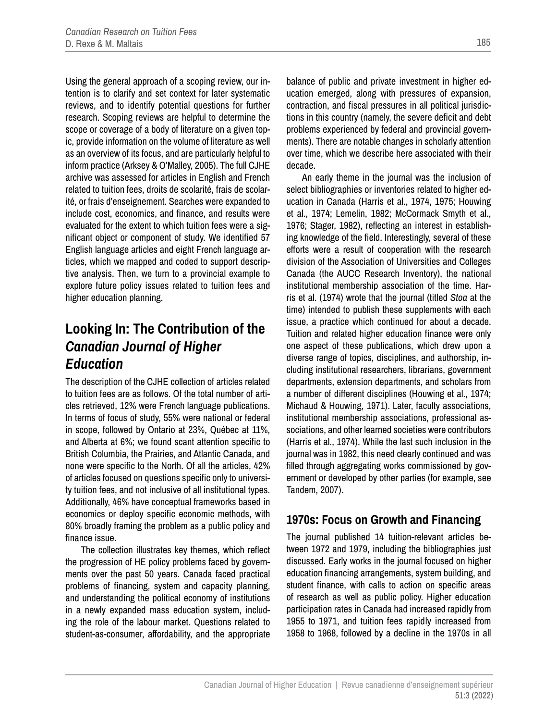Using the general approach of a scoping review, our intention is to clarify and set context for later systematic reviews, and to identify potential questions for further research. Scoping reviews are helpful to determine the scope or coverage of a body of literature on a given topic, provide information on the volume of literature as well as an overview of its focus, and are particularly helpful to inform practice (Arksey & O'Malley, 2005). The full CJHE archive was assessed for articles in English and French related to tuition fees, droits de scolarité, frais de scolarité, or frais d'enseignement. Searches were expanded to include cost, economics, and finance, and results were evaluated for the extent to which tuition fees were a significant object or component of study. We identified 57 English language articles and eight French language articles, which we mapped and coded to support descriptive analysis. Then, we turn to a provincial example to explore future policy issues related to tuition fees and higher education planning.

## **Looking In: The Contribution of the**  *Canadian Journal of Higher Education*

The description of the CJHE collection of articles related to tuition fees are as follows. Of the total number of articles retrieved, 12% were French language publications. In terms of focus of study, 55% were national or federal in scope, followed by Ontario at 23%, Québec at 11%, and Alberta at 6%; we found scant attention specific to British Columbia, the Prairies, and Atlantic Canada, and none were specific to the North. Of all the articles, 42% of articles focused on questions specific only to university tuition fees, and not inclusive of all institutional types. Additionally, 46% have conceptual frameworks based in economics or deploy specific economic methods, with 80% broadly framing the problem as a public policy and finance issue.

The collection illustrates key themes, which reflect the progression of HE policy problems faced by governments over the past 50 years. Canada faced practical problems of financing, system and capacity planning, and understanding the political economy of institutions in a newly expanded mass education system, including the role of the labour market. Questions related to student-as-consumer, affordability, and the appropriate balance of public and private investment in higher education emerged, along with pressures of expansion, contraction, and fiscal pressures in all political jurisdictions in this country (namely, the severe deficit and debt problems experienced by federal and provincial governments). There are notable changes in scholarly attention over time, which we describe here associated with their decade.

An early theme in the journal was the inclusion of select bibliographies or inventories related to higher education in Canada (Harris et al., 1974, 1975; Houwing et al., 1974; Lemelin, 1982; McCormack Smyth et al., 1976; Stager, 1982), reflecting an interest in establishing knowledge of the field. Interestingly, several of these efforts were a result of cooperation with the research division of the Association of Universities and Colleges Canada (the AUCC Research Inventory), the national institutional membership association of the time. Harris et al. (1974) wrote that the journal (titled *Stoa* at the time) intended to publish these supplements with each issue, a practice which continued for about a decade. Tuition and related higher education finance were only one aspect of these publications, which drew upon a diverse range of topics, disciplines, and authorship, including institutional researchers, librarians, government departments, extension departments, and scholars from a number of different disciplines (Houwing et al., 1974; Michaud & Houwing, 1971). Later, faculty associations, institutional membership associations, professional associations, and other learned societies were contributors (Harris et al., 1974). While the last such inclusion in the journal was in 1982, this need clearly continued and was filled through aggregating works commissioned by government or developed by other parties (for example, see Tandem, 2007).

#### **1970s: Focus on Growth and Financing**

The journal published 14 tuition-relevant articles between 1972 and 1979, including the bibliographies just discussed. Early works in the journal focused on higher education financing arrangements, system building, and student finance, with calls to action on specific areas of research as well as public policy. Higher education participation rates in Canada had increased rapidly from 1955 to 1971, and tuition fees rapidly increased from 1958 to 1968, followed by a decline in the 1970s in all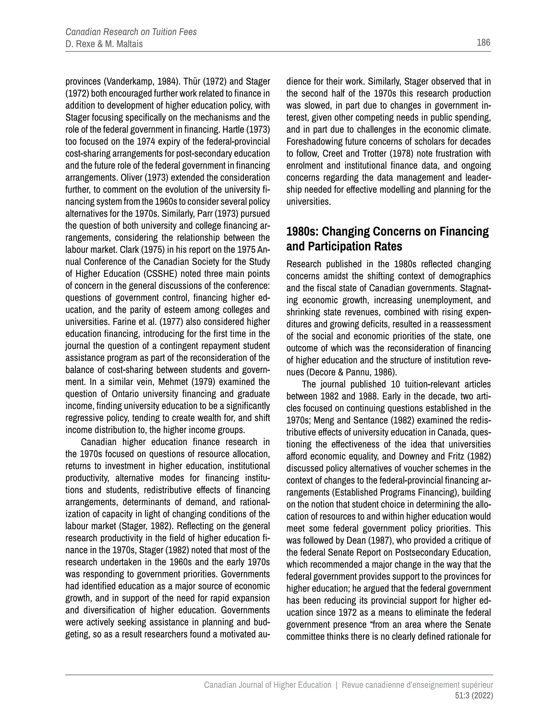provinces (Vanderkamp, 1984). Thür (1972) and Stager (1972) both encouraged further work related to finance in addition to development of higher education policy, with Stager focusing specifically on the mechanisms and the role of the federal government in financing. Hartle (1973) too focused on the 1974 expiry of the federal-provincial cost-sharing arrangements for post-secondary education and the future role of the federal government in financing arrangements. Oliver (1973) extended the consideration further, to comment on the evolution of the university financing system from the 1960s to consider several policy alternatives for the 1970s. Similarly, Parr (1973) pursued the question of both university and college financing arrangements, considering the relationship between the labour market. Clark (1975) in his report on the 1975 Annual Conference of the Canadian Society for the Study of Higher Education (CSSHE) noted three main points of concern in the general discussions of the conference: questions of government control, financing higher education, and the parity of esteem among colleges and universities. Farine et al. (1977) also considered higher education financing, introducing for the first time in the journal the question of a contingent repayment student assistance program as part of the reconsideration of the balance of cost-sharing between students and government. In a similar vein, Mehmet (1979) examined the question of Ontario university financing and graduate income, finding university education to be a significantly regressive policy, tending to create wealth for, and shift income distribution to, the higher income groups.

Canadian higher education finance research in the 1970s focused on questions of resource allocation, returns to investment in higher education, institutional productivity, alternative modes for financing institutions and students, redistributive effects of financing arrangements, determinants of demand, and rationalization of capacity in light of changing conditions of the labour market (Stager, 1982). Reflecting on the general research productivity in the field of higher education finance in the 1970s, Stager (1982) noted that most of the research undertaken in the 1960s and the early 1970s was responding to government priorities. Governments had identified education as a major source of economic growth, and in support of the need for rapid expansion and diversification of higher education. Governments were actively seeking assistance in planning and budgeting, so as a result researchers found a motivated audience for their work. Similarly, Stager observed that in the second half of the 1970s this research production was slowed, in part due to changes in government interest, given other competing needs in public spending, and in part due to challenges in the economic climate. Foreshadowing future concerns of scholars for decades to follow, Creet and Trotter (1978) note frustration with enrolment and institutional finance data, and ongoing concerns regarding the data management and leadership needed for effective modelling and planning for the universities.

#### **1980s: Changing Concerns on Financing and Participation Rates**

Research published in the 1980s reflected changing concerns amidst the shifting context of demographics and the fiscal state of Canadian governments. Stagnating economic growth, increasing unemployment, and shrinking state revenues, combined with rising expenditures and growing deficits, resulted in a reassessment of the social and economic priorities of the state, one outcome of which was the reconsideration of financing of higher education and the structure of institution revenues (Decore & Pannu, 1986).

The journal published 10 tuition-relevant articles between 1982 and 1988. Early in the decade, two articles focused on continuing questions established in the 1970s; Meng and Sentance (1982) examined the redistributive effects of university education in Canada, questioning the effectiveness of the idea that universities afford economic equality, and Downey and Fritz (1982) discussed policy alternatives of voucher schemes in the context of changes to the federal-provincial financing arrangements (Established Programs Financing), building on the notion that student choice in determining the allocation of resources to and within higher education would meet some federal government policy priorities. This was followed by Dean (1987), who provided a critique of the federal Senate Report on Postsecondary Education, which recommended a major change in the way that the federal government provides support to the provinces for higher education; he argued that the federal government has been reducing its provincial support for higher education since 1972 as a means to eliminate the federal government presence "from an area where the Senate committee thinks there is no clearly defined rationale for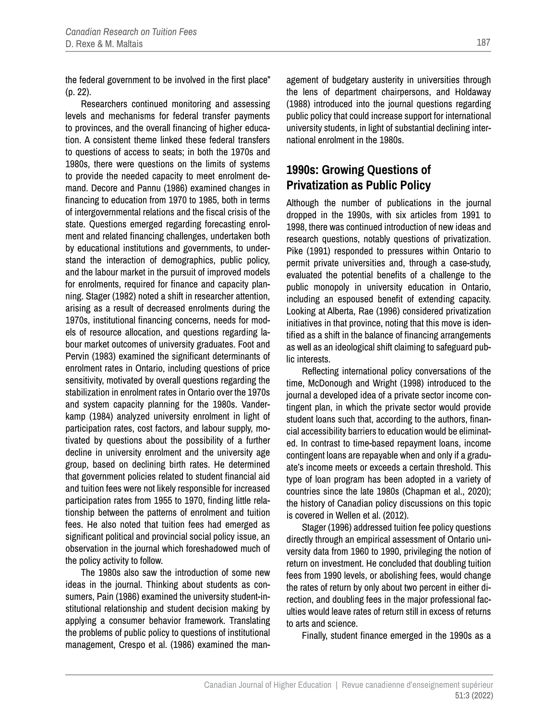the federal government to be involved in the first place" (p. 22).

Researchers continued monitoring and assessing levels and mechanisms for federal transfer payments to provinces, and the overall financing of higher education. A consistent theme linked these federal transfers to questions of access to seats; in both the 1970s and 1980s, there were questions on the limits of systems to provide the needed capacity to meet enrolment demand. Decore and Pannu (1986) examined changes in financing to education from 1970 to 1985, both in terms of intergovernmental relations and the fiscal crisis of the state. Questions emerged regarding forecasting enrolment and related financing challenges, undertaken both by educational institutions and governments, to understand the interaction of demographics, public policy, and the labour market in the pursuit of improved models for enrolments, required for finance and capacity planning. Stager (1982) noted a shift in researcher attention, arising as a result of decreased enrolments during the 1970s, institutional financing concerns, needs for models of resource allocation, and questions regarding labour market outcomes of university graduates. Foot and Pervin (1983) examined the significant determinants of enrolment rates in Ontario, including questions of price sensitivity, motivated by overall questions regarding the stabilization in enrolment rates in Ontario over the 1970s and system capacity planning for the 1980s. Vanderkamp (1984) analyzed university enrolment in light of participation rates, cost factors, and labour supply, motivated by questions about the possibility of a further decline in university enrolment and the university age group, based on declining birth rates. He determined that government policies related to student financial aid and tuition fees were not likely responsible for increased participation rates from 1955 to 1970, finding little relationship between the patterns of enrolment and tuition fees. He also noted that tuition fees had emerged as significant political and provincial social policy issue, an observation in the journal which foreshadowed much of the policy activity to follow.

The 1980s also saw the introduction of some new ideas in the journal. Thinking about students as consumers, Pain (1986) examined the university student-institutional relationship and student decision making by applying a consumer behavior framework. Translating the problems of public policy to questions of institutional management, Crespo et al. (1986) examined the management of budgetary austerity in universities through the lens of department chairpersons, and Holdaway (1988) introduced into the journal questions regarding public policy that could increase support for international university students, in light of substantial declining international enrolment in the 1980s.

### **1990s: Growing Questions of Privatization as Public Policy**

Although the number of publications in the journal dropped in the 1990s, with six articles from 1991 to 1998, there was continued introduction of new ideas and research questions, notably questions of privatization. Pike (1991) responded to pressures within Ontario to permit private universities and, through a case-study, evaluated the potential benefits of a challenge to the public monopoly in university education in Ontario, including an espoused benefit of extending capacity. Looking at Alberta, Rae (1996) considered privatization initiatives in that province, noting that this move is identified as a shift in the balance of financing arrangements as well as an ideological shift claiming to safeguard public interests.

Reflecting international policy conversations of the time, McDonough and Wright (1998) introduced to the journal a developed idea of a private sector income contingent plan, in which the private sector would provide student loans such that, according to the authors, financial accessibility barriers to education would be eliminated. In contrast to time-based repayment loans, income contingent loans are repayable when and only if a graduate's income meets or exceeds a certain threshold. This type of loan program has been adopted in a variety of countries since the late 1980s (Chapman et al., 2020); the history of Canadian policy discussions on this topic is covered in Wellen et al. (2012).

Stager (1996) addressed tuition fee policy questions directly through an empirical assessment of Ontario university data from 1960 to 1990, privileging the notion of return on investment. He concluded that doubling tuition fees from 1990 levels, or abolishing fees, would change the rates of return by only about two percent in either direction, and doubling fees in the major professional faculties would leave rates of return still in excess of returns to arts and science.

Finally, student finance emerged in the 1990s as a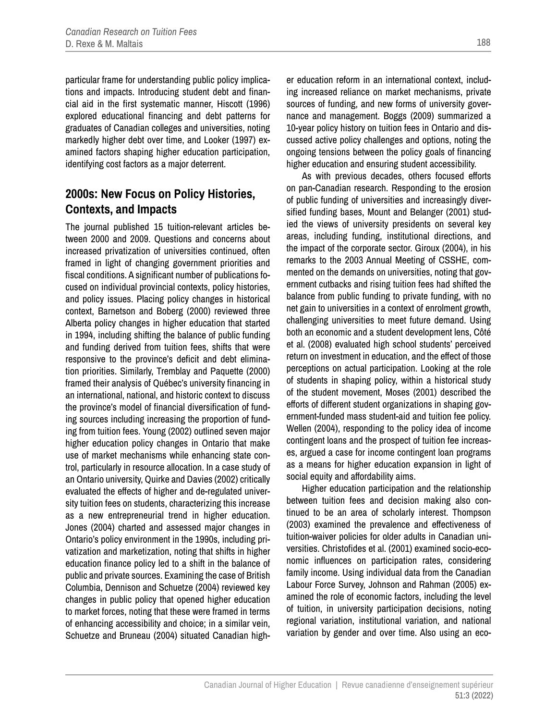particular frame for understanding public policy implications and impacts. Introducing student debt and financial aid in the first systematic manner, Hiscott (1996) explored educational financing and debt patterns for graduates of Canadian colleges and universities, noting markedly higher debt over time, and Looker (1997) examined factors shaping higher education participation, identifying cost factors as a major deterrent.

#### **2000s: New Focus on Policy Histories, Contexts, and Impacts**

The journal published 15 tuition-relevant articles between 2000 and 2009. Questions and concerns about increased privatization of universities continued, often framed in light of changing government priorities and fiscal conditions. A significant number of publications focused on individual provincial contexts, policy histories, and policy issues. Placing policy changes in historical context, Barnetson and Boberg (2000) reviewed three Alberta policy changes in higher education that started in 1994, including shifting the balance of public funding and funding derived from tuition fees, shifts that were responsive to the province's deficit and debt elimination priorities. Similarly, Tremblay and Paquette (2000) framed their analysis of Québec's university financing in an international, national, and historic context to discuss the province's model of financial diversification of funding sources including increasing the proportion of funding from tuition fees. Young (2002) outlined seven major higher education policy changes in Ontario that make use of market mechanisms while enhancing state control, particularly in resource allocation. In a case study of an Ontario university, Quirke and Davies (2002) critically evaluated the effects of higher and de-regulated university tuition fees on students, characterizing this increase as a new entrepreneurial trend in higher education. Jones (2004) charted and assessed major changes in Ontario's policy environment in the 1990s, including privatization and marketization, noting that shifts in higher education finance policy led to a shift in the balance of public and private sources. Examining the case of British Columbia, Dennison and Schuetze (2004) reviewed key changes in public policy that opened higher education to market forces, noting that these were framed in terms of enhancing accessibility and choice; in a similar vein, Schuetze and Bruneau (2004) situated Canadian higher education reform in an international context, including increased reliance on market mechanisms, private sources of funding, and new forms of university governance and management. Boggs (2009) summarized a 10-year policy history on tuition fees in Ontario and discussed active policy challenges and options, noting the ongoing tensions between the policy goals of financing higher education and ensuring student accessibility.

As with previous decades, others focused efforts on pan-Canadian research. Responding to the erosion of public funding of universities and increasingly diversified funding bases, Mount and Belanger (2001) studied the views of university presidents on several key areas, including funding, institutional directions, and the impact of the corporate sector. Giroux (2004), in his remarks to the 2003 Annual Meeting of CSSHE, commented on the demands on universities, noting that government cutbacks and rising tuition fees had shifted the balance from public funding to private funding, with no net gain to universities in a context of enrolment growth, challenging universities to meet future demand. Using both an economic and a student development lens, Côté et al. (2008) evaluated high school students' perceived return on investment in education, and the effect of those perceptions on actual participation. Looking at the role of students in shaping policy, within a historical study of the student movement, Moses (2001) described the efforts of different student organizations in shaping government-funded mass student-aid and tuition fee policy. Wellen (2004), responding to the policy idea of income contingent loans and the prospect of tuition fee increases, argued a case for income contingent loan programs as a means for higher education expansion in light of social equity and affordability aims.

Higher education participation and the relationship between tuition fees and decision making also continued to be an area of scholarly interest. Thompson (2003) examined the prevalence and effectiveness of tuition-waiver policies for older adults in Canadian universities. Christofides et al. (2001) examined socio-economic influences on participation rates, considering family income. Using individual data from the Canadian Labour Force Survey, Johnson and Rahman (2005) examined the role of economic factors, including the level of tuition, in university participation decisions, noting regional variation, institutional variation, and national variation by gender and over time. Also using an eco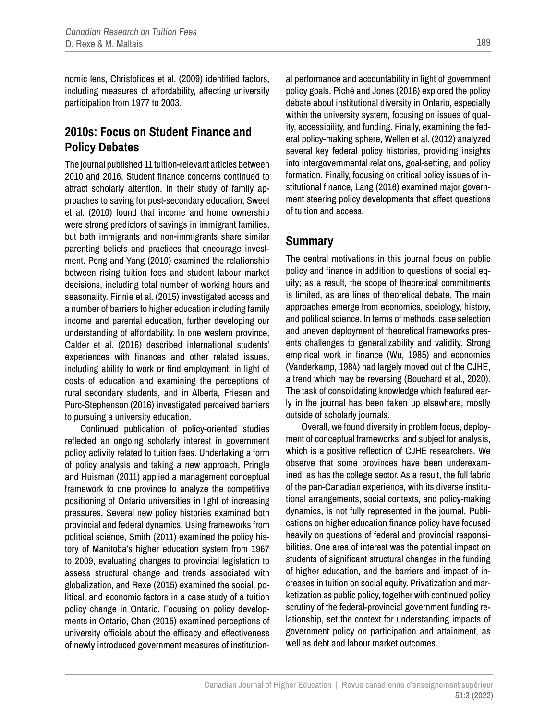nomic lens, Christofides et al. (2009) identified factors, including measures of affordability, affecting university participation from 1977 to 2003.

#### **2010s: Focus on Student Finance and Policy Debates**

The journal published 11 tuition-relevant articles between 2010 and 2016. Student finance concerns continued to attract scholarly attention. In their study of family approaches to saving for post-secondary education, Sweet et al. (2010) found that income and home ownership were strong predictors of savings in immigrant families, but both immigrants and non-immigrants share similar parenting beliefs and practices that encourage investment. Peng and Yang (2010) examined the relationship between rising tuition fees and student labour market decisions, including total number of working hours and seasonality. Finnie et al. (2015) investigated access and a number of barriers to higher education including family income and parental education, further developing our understanding of affordability. In one western province, Calder et al. (2016) described international students' experiences with finances and other related issues, including ability to work or find employment, in light of costs of education and examining the perceptions of rural secondary students, and in Alberta, Friesen and Purc-Stephenson (2016) investigated perceived barriers to pursuing a university education.

Continued publication of policy-oriented studies reflected an ongoing scholarly interest in government policy activity related to tuition fees. Undertaking a form of policy analysis and taking a new approach, Pringle and Huisman (2011) applied a management conceptual framework to one province to analyze the competitive positioning of Ontario universities in light of increasing pressures. Several new policy histories examined both provincial and federal dynamics. Using frameworks from political science, Smith (2011) examined the policy history of Manitoba's higher education system from 1967 to 2009, evaluating changes to provincial legislation to assess structural change and trends associated with globalization, and Rexe (2015) examined the social, political, and economic factors in a case study of a tuition policy change in Ontario. Focusing on policy developments in Ontario, Chan (2015) examined perceptions of university officials about the efficacy and effectiveness of newly introduced government measures of institutional performance and accountability in light of government policy goals. Piché and Jones (2016) explored the policy debate about institutional diversity in Ontario, especially within the university system, focusing on issues of quality, accessibility, and funding. Finally, examining the federal policy-making sphere, Wellen et al. (2012) analyzed several key federal policy histories, providing insights into intergovernmental relations, goal-setting, and policy formation. Finally, focusing on critical policy issues of institutional finance, Lang (2016) examined major government steering policy developments that affect questions of tuition and access.

#### **Summary**

The central motivations in this journal focus on public policy and finance in addition to questions of social equity; as a result, the scope of theoretical commitments is limited, as are lines of theoretical debate. The main approaches emerge from economics, sociology, history, and political science. In terms of methods, case selection and uneven deployment of theoretical frameworks presents challenges to generalizability and validity. Strong empirical work in finance (Wu, 1985) and economics (Vanderkamp, 1984) had largely moved out of the CJHE, a trend which may be reversing (Bouchard et al., 2020). The task of consolidating knowledge which featured early in the journal has been taken up elsewhere, mostly outside of scholarly journals.

Overall, we found diversity in problem focus, deployment of conceptual frameworks, and subject for analysis, which is a positive reflection of CJHE researchers. We observe that some provinces have been underexamined, as has the college sector. As a result, the full fabric of the pan-Canadian experience, with its diverse institutional arrangements, social contexts, and policy-making dynamics, is not fully represented in the journal. Publications on higher education finance policy have focused heavily on questions of federal and provincial responsibilities. One area of interest was the potential impact on students of significant structural changes in the funding of higher education, and the barriers and impact of increases in tuition on social equity. Privatization and marketization as public policy, together with continued policy scrutiny of the federal-provincial government funding relationship, set the context for understanding impacts of government policy on participation and attainment, as well as debt and labour market outcomes.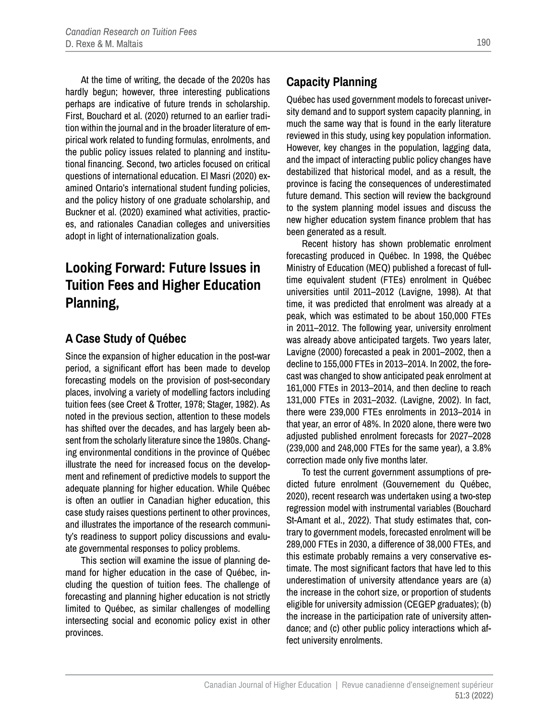At the time of writing, the decade of the 2020s has hardly begun; however, three interesting publications perhaps are indicative of future trends in scholarship. First, Bouchard et al. (2020) returned to an earlier tradition within the journal and in the broader literature of empirical work related to funding formulas, enrolments, and the public policy issues related to planning and institutional financing. Second, two articles focused on critical questions of international education. El Masri (2020) examined Ontario's international student funding policies, and the policy history of one graduate scholarship, and Buckner et al. (2020) examined what activities, practices, and rationales Canadian colleges and universities adopt in light of internationalization goals.

# **Looking Forward: Future Issues in Tuition Fees and Higher Education Planning,**

#### **A Case Study of Québec**

Since the expansion of higher education in the post-war period, a significant effort has been made to develop forecasting models on the provision of post-secondary places, involving a variety of modelling factors including tuition fees (see Creet & Trotter, 1978; Stager, 1982). As noted in the previous section, attention to these models has shifted over the decades, and has largely been absent from the scholarly literature since the 1980s. Changing environmental conditions in the province of Québec illustrate the need for increased focus on the development and refinement of predictive models to support the adequate planning for higher education. While Québec is often an outlier in Canadian higher education, this case study raises questions pertinent to other provinces, and illustrates the importance of the research community's readiness to support policy discussions and evaluate governmental responses to policy problems.

This section will examine the issue of planning demand for higher education in the case of Québec, including the question of tuition fees. The challenge of forecasting and planning higher education is not strictly limited to Québec, as similar challenges of modelling intersecting social and economic policy exist in other provinces.

### **Capacity Planning**

Québec has used government models to forecast university demand and to support system capacity planning, in much the same way that is found in the early literature reviewed in this study, using key population information. However, key changes in the population, lagging data, and the impact of interacting public policy changes have destabilized that historical model, and as a result, the province is facing the consequences of underestimated future demand. This section will review the background to the system planning model issues and discuss the new higher education system finance problem that has been generated as a result.

Recent history has shown problematic enrolment forecasting produced in Québec. In 1998, the Québec Ministry of Education (MEQ) published a forecast of fulltime equivalent student (FTEs) enrolment in Québec universities until 2011–2012 (Lavigne, 1998). At that time, it was predicted that enrolment was already at a peak, which was estimated to be about 150,000 FTEs in 2011–2012. The following year, university enrolment was already above anticipated targets. Two years later, Lavigne (2000) forecasted a peak in 2001–2002, then a decline to 155,000 FTEs in 2013–2014. In 2002, the forecast was changed to show anticipated peak enrolment at 161,000 FTEs in 2013–2014, and then decline to reach 131,000 FTEs in 2031–2032. (Lavigne, 2002). In fact, there were 239,000 FTEs enrolments in 2013–2014 in that year, an error of 48%. In 2020 alone, there were two adjusted published enrolment forecasts for 2027–2028 (239,000 and 248,000 FTEs for the same year), a 3.8% correction made only five months later.

To test the current government assumptions of predicted future enrolment (Gouvernement du Québec, 2020), recent research was undertaken using a two-step regression model with instrumental variables (Bouchard St-Amant et al., 2022). That study estimates that, contrary to government models, forecasted enrolment will be 289,000 FTEs in 2030, a difference of 38,000 FTEs, and this estimate probably remains a very conservative estimate. The most significant factors that have led to this underestimation of university attendance years are (a) the increase in the cohort size, or proportion of students eligible for university admission (CEGEP graduates); (b) the increase in the participation rate of university attendance; and (c) other public policy interactions which affect university enrolments.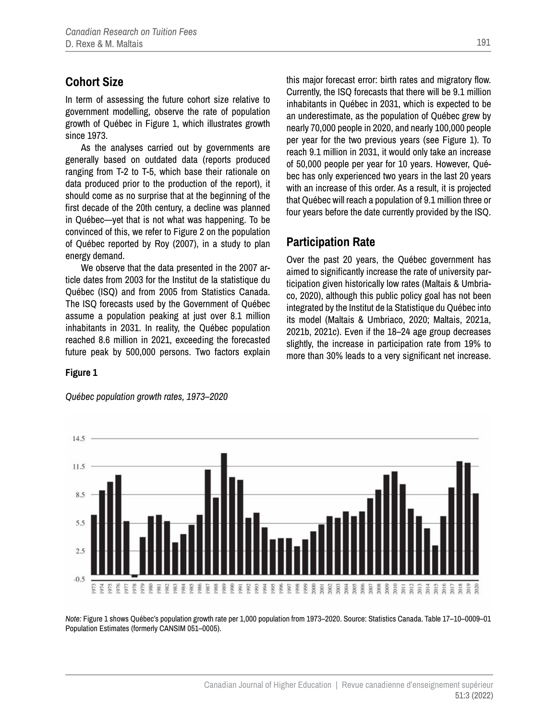### **Cohort Size**

In term of assessing the future cohort size relative to government modelling, observe the rate of population growth of Québec in Figure 1, which illustrates growth since 1973.

As the analyses carried out by governments are generally based on outdated data (reports produced ranging from T-2 to T-5, which base their rationale on data produced prior to the production of the report), it should come as no surprise that at the beginning of the first decade of the 20th century, a decline was planned in Québec—yet that is not what was happening. To be convinced of this, we refer to Figure 2 on the population of Québec reported by Roy (2007), in a study to plan energy demand.

We observe that the data presented in the 2007 article dates from 2003 for the Institut de la statistique du Québec (ISQ) and from 2005 from Statistics Canada. The ISQ forecasts used by the Government of Québec assume a population peaking at just over 8.1 million inhabitants in 2031. In reality, the Québec population reached 8.6 million in 2021, exceeding the forecasted future peak by 500,000 persons. Two factors explain

this major forecast error: birth rates and migratory flow. Currently, the ISQ forecasts that there will be 9.1 million inhabitants in Québec in 2031, which is expected to be an underestimate, as the population of Québec grew by nearly 70,000 people in 2020, and nearly 100,000 people per year for the two previous years (see Figure 1). To reach 9.1 million in 2031, it would only take an increase of 50,000 people per year for 10 years. However, Québec has only experienced two years in the last 20 years with an increase of this order. As a result, it is projected that Québec will reach a population of 9.1 million three or four years before the date currently provided by the ISQ.

#### **Participation Rate**

Over the past 20 years, the Québec government has aimed to significantly increase the rate of university participation given historically low rates (Maltais & Umbriaco, 2020), although this public policy goal has not been integrated by the Institut de la Statistique du Québec into its model (Maltais & Umbriaco, 2020; Maltais, 2021a, 2021b, 2021c). Even if the 18–24 age group decreases slightly, the increase in participation rate from 19% to more than 30% leads to a very significant net increase.

#### **Figure 1**



*Québec population growth rates, 1973–2020*

*Note:* Figure 1 shows Québec's population growth rate per 1,000 population from 1973–2020. Source: Statistics Canada. Table 17–10–0009–01 Population Estimates (formerly CANSIM 051–0005).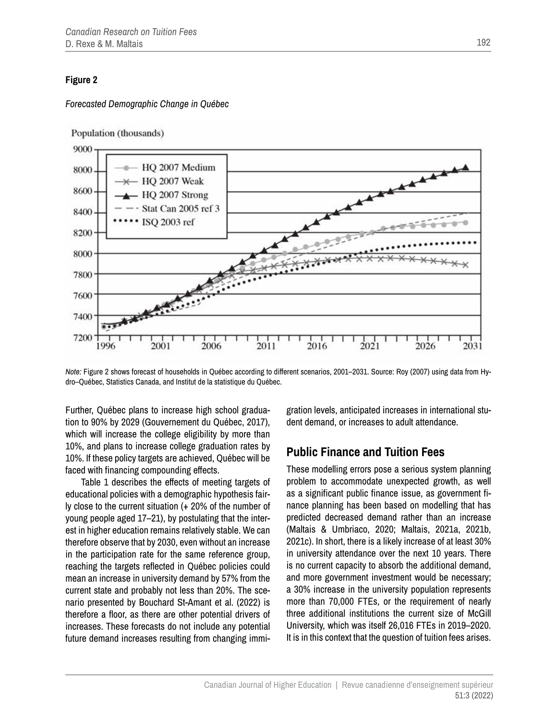#### **Figure 2**

#### *Forecasted Demographic Change in Québec*

Population (thousands)



*Note:* Figure 2 shows forecast of households in Québec according to different scenarios, 2001–2031. Source: Roy (2007) using data from Hydro–Québec, Statistics Canada, and Institut de la statistique du Québec.

Further, Québec plans to increase high school graduation to 90% by 2029 (Gouvernement du Québec, 2017), which will increase the college eligibility by more than 10%, and plans to increase college graduation rates by 10%. If these policy targets are achieved, Québec will be faced with financing compounding effects.

Table 1 describes the effects of meeting targets of educational policies with a demographic hypothesis fairly close to the current situation (+ 20% of the number of young people aged 17–21), by postulating that the interest in higher education remains relatively stable. We can therefore observe that by 2030, even without an increase in the participation rate for the same reference group, reaching the targets reflected in Québec policies could mean an increase in university demand by 57% from the current state and probably not less than 20%. The scenario presented by Bouchard St-Amant et al. (2022) is therefore a floor, as there are other potential drivers of increases. These forecasts do not include any potential future demand increases resulting from changing immigration levels, anticipated increases in international student demand, or increases to adult attendance.

#### **Public Finance and Tuition Fees**

These modelling errors pose a serious system planning problem to accommodate unexpected growth, as well as a significant public finance issue, as government finance planning has been based on modelling that has predicted decreased demand rather than an increase (Maltais & Umbriaco, 2020; Maltais, 2021a, 2021b, 2021c). In short, there is a likely increase of at least 30% in university attendance over the next 10 years. There is no current capacity to absorb the additional demand, and more government investment would be necessary; a 30% increase in the university population represents more than 70,000 FTEs, or the requirement of nearly three additional institutions the current size of McGill University, which was itself 26,016 FTEs in 2019–2020. It is in this context that the question of tuition fees arises.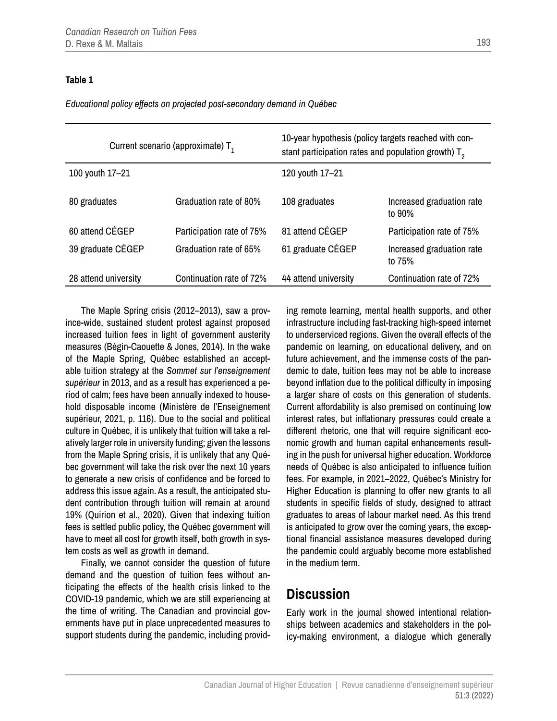#### **Table 1**

*Educational policy effects on projected post-secondary demand in Québec*

| Current scenario (approximate) $T_1$ |                           | 10-year hypothesis (policy targets reached with con-<br>stant participation rates and population growth) $T2$ |                                     |
|--------------------------------------|---------------------------|---------------------------------------------------------------------------------------------------------------|-------------------------------------|
| 100 youth 17-21                      |                           | 120 youth 17-21                                                                                               |                                     |
| 80 graduates                         | Graduation rate of 80%    | 108 graduates                                                                                                 | Increased graduation rate<br>to 90% |
| 60 attend CÉGEP                      | Participation rate of 75% | 81 attend CÉGEP                                                                                               | Participation rate of 75%           |
| 39 graduate CÉGEP                    | Graduation rate of 65%    | 61 graduate CÉGEP                                                                                             | Increased graduation rate<br>to 75% |
| 28 attend university                 | Continuation rate of 72%  | 44 attend university                                                                                          | Continuation rate of 72%            |
|                                      |                           |                                                                                                               |                                     |

The Maple Spring crisis (2012–2013), saw a province-wide, sustained student protest against proposed increased tuition fees in light of government austerity measures (Bégin-Caouette & Jones, 2014). In the wake of the Maple Spring, Québec established an acceptable tuition strategy at the *Sommet sur l'enseignement supérieur* in 2013, and as a result has experienced a period of calm; fees have been annually indexed to household disposable income (Ministère de l'Enseignement supérieur, 2021, p. 116). Due to the social and political culture in Québec, it is unlikely that tuition will take a relatively larger role in university funding; given the lessons from the Maple Spring crisis, it is unlikely that any Québec government will take the risk over the next 10 years to generate a new crisis of confidence and be forced to address this issue again. As a result, the anticipated student contribution through tuition will remain at around 19% (Quirion et al., 2020). Given that indexing tuition fees is settled public policy, the Québec government will have to meet all cost for growth itself, both growth in system costs as well as growth in demand.

Finally, we cannot consider the question of future demand and the question of tuition fees without anticipating the effects of the health crisis linked to the COVID-19 pandemic, which we are still experiencing at the time of writing. The Canadian and provincial governments have put in place unprecedented measures to support students during the pandemic, including providing remote learning, mental health supports, and other infrastructure including fast-tracking high-speed internet to underserviced regions. Given the overall effects of the pandemic on learning, on educational delivery, and on future achievement, and the immense costs of the pandemic to date, tuition fees may not be able to increase beyond inflation due to the political difficulty in imposing a larger share of costs on this generation of students. Current affordability is also premised on continuing low interest rates, but inflationary pressures could create a different rhetoric, one that will require significant economic growth and human capital enhancements resulting in the push for universal higher education. Workforce needs of Québec is also anticipated to influence tuition fees. For example, in 2021–2022, Québec's Ministry for Higher Education is planning to offer new grants to all students in specific fields of study, designed to attract graduates to areas of labour market need. As this trend is anticipated to grow over the coming years, the exceptional financial assistance measures developed during the pandemic could arguably become more established in the medium term.

### **Discussion**

Early work in the journal showed intentional relationships between academics and stakeholders in the policy-making environment, a dialogue which generally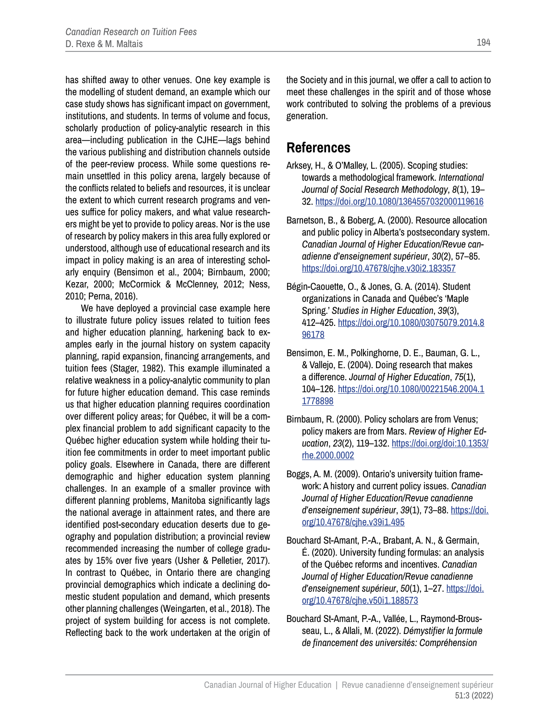has shifted away to other venues. One key example is the modelling of student demand, an example which our case study shows has significant impact on government, institutions, and students. In terms of volume and focus, scholarly production of policy-analytic research in this area—including publication in the CJHE—lags behind the various publishing and distribution channels outside of the peer-review process. While some questions remain unsettled in this policy arena, largely because of the conflicts related to beliefs and resources, it is unclear the extent to which current research programs and venues suffice for policy makers, and what value researchers might be yet to provide to policy areas. Nor is the use of research by policy makers in this area fully explored or understood, although use of educational research and its impact in policy making is an area of interesting scholarly enquiry (Bensimon et al., 2004; Birnbaum, 2000; Kezar, 2000; McCormick & McClenney, 2012; Ness, 2010; Perna, 2016).

We have deployed a provincial case example here to illustrate future policy issues related to tuition fees and higher education planning, harkening back to examples early in the journal history on system capacity planning, rapid expansion, financing arrangements, and tuition fees (Stager, 1982). This example illuminated a relative weakness in a policy-analytic community to plan for future higher education demand. This case reminds us that higher education planning requires coordination over different policy areas; for Québec, it will be a complex financial problem to add significant capacity to the Québec higher education system while holding their tuition fee commitments in order to meet important public policy goals. Elsewhere in Canada, there are different demographic and higher education system planning challenges. In an example of a smaller province with different planning problems, Manitoba significantly lags the national average in attainment rates, and there are identified post-secondary education deserts due to geography and population distribution; a provincial review recommended increasing the number of college graduates by 15% over five years (Usher & Pelletier, 2017). In contrast to Québec, in Ontario there are changing provincial demographics which indicate a declining domestic student population and demand, which presents other planning challenges (Weingarten, et al., 2018). The project of system building for access is not complete. Reflecting back to the work undertaken at the origin of

the Society and in this journal, we offer a call to action to meet these challenges in the spirit and of those whose work contributed to solving the problems of a previous generation.

### **References**

- Arksey, H., & O'Malley, L. (2005). Scoping studies: towards a methodological framework. *International Journal of Social Research Methodology*, *8*(1), 19– 32. <https://doi.org/10.1080/1364557032000119616>
- Barnetson, B., & Boberg, A. (2000). Resource allocation and public policy in Alberta's postsecondary system. *Canadian Journal of Higher Education/Revue canadienne d'enseignement supérieur*, *30*(2), 57–85. <https://doi.org/10.47678/cjhe.v30i2.183357>
- Bégin-Caouette, O., & Jones, G. A. (2014). Student organizations in Canada and Québec's 'Maple Spring.' *Studies in Higher Education*, *39*(3), 412–425. [https://doi.org/10.1080/03075079.2014.8](https://doi.org/10.1080/03075079.2014.896178) [96178](https://doi.org/10.1080/03075079.2014.896178)
- Bensimon, E. M., Polkinghorne, D. E., Bauman, G. L., & Vallejo, E. (2004). Doing research that makes a difference. *Journal of Higher Education*, *75*(1), 104–126. [https://doi.org/10.1080/00221546.2004.1](https://doi.org/10.1080/00221546.2004.11778898) [1778898](https://doi.org/10.1080/00221546.2004.11778898)
- Birnbaum, R. (2000). Policy scholars are from Venus; policy makers are from Mars. *Review of Higher Education*, *23*(2), 119–132. [https://doi.org/doi:10.1353/](https://doi.org/doi:10.1353/rhe.2000.0002) [rhe.2000.0002](https://doi.org/doi:10.1353/rhe.2000.0002)
- Boggs, A. M. (2009). Ontario's university tuition framework: A history and current policy issues. *Canadian Journal of Higher Education/Revue canadienne d'enseignement supérieur*, *39*(1), 73–88. [https://doi.](https://doi.org/10.47678/cjhe.v39i1.495) [org/10.47678/cjhe.v39i1.495](https://doi.org/10.47678/cjhe.v39i1.495)
- Bouchard St-Amant, P.-A., Brabant, A. N., & Germain, É. (2020). University funding formulas: an analysis of the Québec reforms and incentives. *Canadian Journal of Higher Education/Revue canadienne d'enseignement supérieur*, *50*(1), 1–27. [https://doi.](https://doi.org/10.47678/cjhe.v50i1.188573) [org/10.47678/cjhe.v50i1.188573](https://doi.org/10.47678/cjhe.v50i1.188573)
- Bouchard St-Amant, P.-A., Vallée, L., Raymond-Brousseau, L., & Allali, M. (2022). *Démystifier la formule de financement des universités: Compréhension*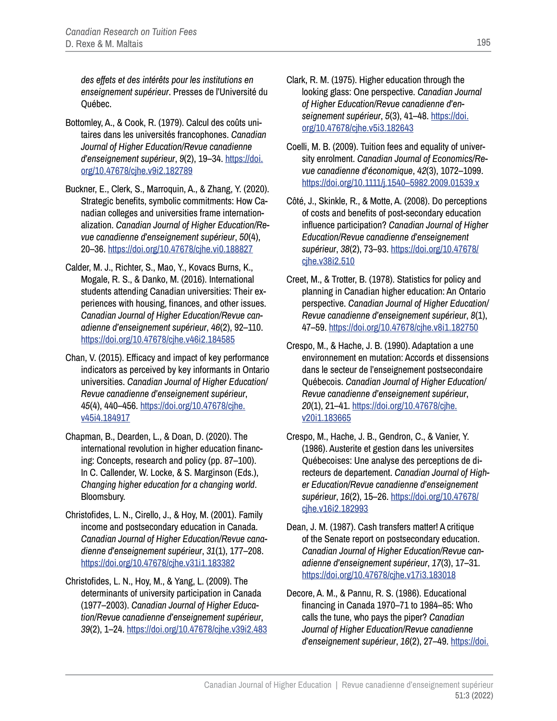*des effets et des intérêts pour les institutions en enseignement supérieur*. Presses de l'Université du Québec.

- Bottomley, A., & Cook, R. (1979). Calcul des coûts unitaires dans les universités francophones. *Canadian Journal of Higher Education/Revue canadienne d'enseignement supérieur*, *9*(2), 19–34. [https://doi.](https://doi.org/10.47678/cjhe.v9i2.182789) [org/10.47678/cjhe.v9i2.182789](https://doi.org/10.47678/cjhe.v9i2.182789)
- Buckner, E., Clerk, S., Marroquin, A., & Zhang, Y. (2020). Strategic benefits, symbolic commitments: How Canadian colleges and universities frame internationalization. *Canadian Journal of Higher Education/Revue canadienne d'enseignement supérieur*, *50*(4), 20–36. <https://doi.org/10.47678/cjhe.vi0.188827>
- Calder, M. J., Richter, S., Mao, Y., Kovacs Burns, K., Mogale, R. S., & Danko, M. (2016). International students attending Canadian universities: Their experiences with housing, finances, and other issues. *Canadian Journal of Higher Education/Revue canadienne d'enseignement supérieur*, *46*(2), 92–110. <https://doi.org/10.47678/cjhe.v46i2.184585>
- Chan, V. (2015). Efficacy and impact of key performance indicators as perceived by key informants in Ontario universities. *Canadian Journal of Higher Education/ Revue canadienne d'enseignement supérieur*, *45*(4), 440–456. [https://doi.org/10.47678/cjhe.](https://doi.org/10.47678/cjhe.v45i4.184917) [v45i4.184917](https://doi.org/10.47678/cjhe.v45i4.184917)
- Chapman, B., Dearden, L., & Doan, D. (2020). The international revolution in higher education financing: Concepts, research and policy (pp. 87–100). In C. Callender, W. Locke, & S. Marginson (Eds.), *Changing higher education for a changing world*. Bloomsbury.
- Christofides, L. N., Cirello, J., & Hoy, M. (2001). Family income and postsecondary education in Canada. *Canadian Journal of Higher Education/Revue canadienne d'enseignement supérieur*, *31*(1), 177–208. <https://doi.org/10.47678/cjhe.v31i1.183382>
- Christofides, L. N., Hoy, M., & Yang, L. (2009). The determinants of university participation in Canada (1977–2003). *Canadian Journal of Higher Education/Revue canadienne d'enseignement supérieur*, *39*(2), 1–24.<https://doi.org/10.47678/cjhe.v39i2.483>
- Clark, R. M. (1975). Higher education through the looking glass: One perspective. *Canadian Journal of Higher Education/Revue canadienne d'enseignement supérieur*, *5*(3), 41–48. [https://doi.](https://doi.org/10.47678/cjhe.v5i3.182643) [org/10.47678/cjhe.v5i3.182643](https://doi.org/10.47678/cjhe.v5i3.182643)
- Coelli, M. B. (2009). Tuition fees and equality of university enrolment. *Canadian Journal of Economics/Revue canadienne d'économique*, *42*(3), 1072–1099. [https://doi.org/10.1111/j.1540–5982.2009.01539.x](https://doi.org/10.1111/j.1540-5982.2009.01539.x)
- Côté, J., Skinkle, R., & Motte, A. (2008). Do perceptions of costs and benefits of post-secondary education influence participation? *Canadian Journal of Higher Education/Revue canadienne d'enseignement supérieur*, *38*(2), 73–93. [https://doi.org/10.47678/](https://doi.org/10.47678/cjhe.v38i2.510) [cjhe.v38i2.510](https://doi.org/10.47678/cjhe.v38i2.510)
- Creet, M., & Trotter, B. (1978). Statistics for policy and planning in Canadian higher education: An Ontario perspective. *Canadian Journal of Higher Education/ Revue canadienne d'enseignement supérieur*, *8*(1), 47–59. <https://doi.org/10.47678/cjhe.v8i1.182750>
- Crespo, M., & Hache, J. B. (1990). Adaptation a une environnement en mutation: Accords et dissensions dans le secteur de l'enseignement postsecondaire Québecois. *Canadian Journal of Higher Education/ Revue canadienne d'enseignement supérieur*, *20*(1), 21–41. [https://doi.org/10.47678/cjhe.](https://doi.org/10.47678/cjhe.v20i1.183665) [v20i1.183665](https://doi.org/10.47678/cjhe.v20i1.183665)
- Crespo, M., Hache, J. B., Gendron, C., & Vanier, Y. (1986). Austerite et gestion dans les universites Québecoises: Une analyse des perceptions de directeurs de departement. *Canadian Journal of Higher Education/Revue canadienne d'enseignement supérieur*, *16*(2), 15–26. [https://doi.org/10.47678/](https://doi.org/10.47678/cjhe.v16i2.182993) [cjhe.v16i2.182993](https://doi.org/10.47678/cjhe.v16i2.182993)
- Dean, J. M. (1987). Cash transfers matter! A critique of the Senate report on postsecondary education. *Canadian Journal of Higher Education/Revue canadienne d'enseignement supérieur*, *17*(3), 17–31. <https://doi.org/10.47678/cjhe.v17i3.183018>
- Decore, A. M., & Pannu, R. S. (1986). Educational financing in Canada 1970–71 to 1984–85: Who calls the tune, who pays the piper? *Canadian Journal of Higher Education/Revue canadienne d'enseignement supérieur*, *16*(2), 27–49. [https://doi.](https://doi.org/10.47678/cjhe.v16i2.182994)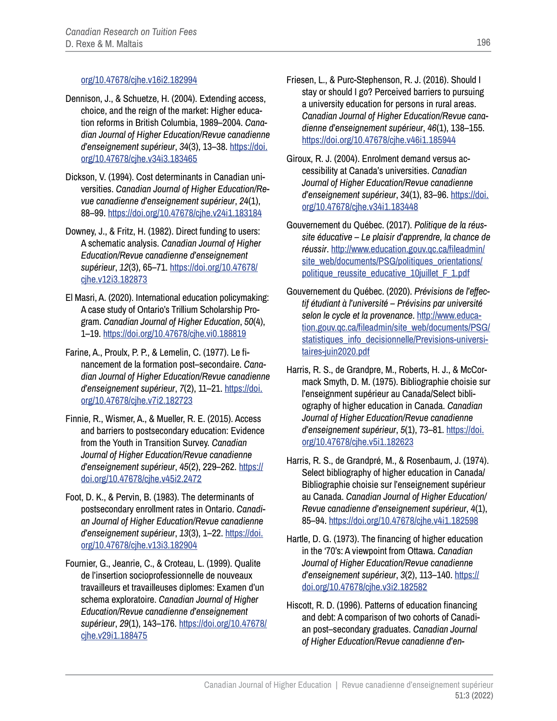#### [org/10.47678/cjhe.v16i2.182994](https://doi.org/10.47678/cjhe.v16i2.182994)

- Dennison, J., & Schuetze, H. (2004). Extending access, choice, and the reign of the market: Higher education reforms in British Columbia, 1989–2004. *Canadian Journal of Higher Education/Revue canadienne d'enseignement supérieur*, *34*(3), 13–38. [https://doi.](https://doi.org/10.47678/cjhe.v34i3.183465) [org/10.47678/cjhe.v34i3.183465](https://doi.org/10.47678/cjhe.v34i3.183465)
- Dickson, V. (1994). Cost determinants in Canadian universities. *Canadian Journal of Higher Education/Revue canadienne d'enseignement supérieur*, *24*(1), 88–99. <https://doi.org/10.47678/cjhe.v24i1.183184>
- Downey, J., & Fritz, H. (1982). Direct funding to users: A schematic analysis. *Canadian Journal of Higher Education/Revue canadienne d'enseignement supérieur*, *12*(3), 65–71. [https://doi.org/10.47678/](https://doi.org/10.47678/cjhe.v12i3.182873) [cjhe.v12i3.182873](https://doi.org/10.47678/cjhe.v12i3.182873)
- El Masri, A. (2020). International education policymaking: A case study of Ontario's Trillium Scholarship Program. *Canadian Journal of Higher Education*, *50*(4), 1–19. <https://doi.org/10.47678/cjhe.vi0.188819>
- Farine, A., Proulx, P. P., & Lemelin, C. (1977). Le financement de la formation post–secondaire. *Canadian Journal of Higher Education/Revue canadienne d'enseignement supérieur*, *7*(2), 11–21. [https://doi.](https://doi.org/10.47678/cjhe.v7i2.182723) [org/10.47678/cjhe.v7i2.182723](https://doi.org/10.47678/cjhe.v7i2.182723)
- Finnie, R., Wismer, A., & Mueller, R. E. (2015). Access and barriers to postsecondary education: Evidence from the Youth in Transition Survey. *Canadian Journal of Higher Education/Revue canadienne d'enseignement supérieur*, *45*(2), 229–262. [https://](https://doi.org/10.47678/cjhe.v45i2.2472) [doi.org/10.47678/cjhe.v45i2.2472](https://doi.org/10.47678/cjhe.v45i2.2472)
- Foot, D. K., & Pervin, B. (1983). The determinants of postsecondary enrollment rates in Ontario. *Canadian Journal of Higher Education/Revue canadienne d'enseignement supérieur*, *13*(3), 1–22. [https://doi.](https://doi.org/10.47678/cjhe.v13i3.182904) [org/10.47678/cjhe.v13i3.182904](https://doi.org/10.47678/cjhe.v13i3.182904)
- Fournier, G., Jeanrie, C., & Croteau, L. (1999). Qualite de l'insertion socioprofessionnelle de nouveaux travailleurs et travailleuses diplomes: Examen d'un schema exploratoire. *Canadian Journal of Higher Education/Revue canadienne d'enseignement supérieur*, *29*(1), 143–176. [https://doi.org/10.47678/](https://doi.org/10.47678/cjhe.v29i1.188475) [cjhe.v29i1.188475](https://doi.org/10.47678/cjhe.v29i1.188475)
- Friesen, L., & Purc-Stephenson, R. J. (2016). Should I stay or should I go? Perceived barriers to pursuing a university education for persons in rural areas. *Canadian Journal of Higher Education/Revue canadienne d'enseignement supérieur*, *46*(1), 138–155. <https://doi.org/10.47678/cjhe.v46i1.185944>
- Giroux, R. J. (2004). Enrolment demand versus accessibility at Canada's universities. *Canadian Journal of Higher Education/Revue canadienne d'enseignement supérieur*, *34*(1), 83–96. [https://doi.](https://doi.org/10.47678/cjhe.v34i1.183448) [org/10.47678/cjhe.v34i1.183448](https://doi.org/10.47678/cjhe.v34i1.183448)
- Gouvernement du Québec. (2017). *Politique de la réussite éducative – Le plaisir d'apprendre, la chance de réussir*. [http://www.education.gouv.qc.ca/fileadmin/](http://www.education.gouv.qc.ca/fileadmin/site_web/documents/PSG/politiques_orientations/politique_reussite_educative_10juillet_F_1.pdf) [site\\_web/documents/PSG/politiques\\_orientations/](http://www.education.gouv.qc.ca/fileadmin/site_web/documents/PSG/politiques_orientations/politique_reussite_educative_10juillet_F_1.pdf) politique reussite educative 10juillet F 1.pdf
- Gouvernement du Québec. (2020). *Prévisions de l'effectif étudiant à l'université – Prévisins par université selon le cycle et la provenance*. [http://www.educa](http://www.education.gouv.qc.ca/fileadmin/site_web/documents/PSG/statistiques_info_decisionnelle/Previsions-universitaires-juin2020.pdf)[tion.gouv.qc.ca/fileadmin/site\\_web/documents/PSG/](http://www.education.gouv.qc.ca/fileadmin/site_web/documents/PSG/statistiques_info_decisionnelle/Previsions-universitaires-juin2020.pdf) [statistiques\\_info\\_decisionnelle/Previsions-universi](http://www.education.gouv.qc.ca/fileadmin/site_web/documents/PSG/statistiques_info_decisionnelle/Previsions-universitaires-juin2020.pdf)[taires-juin2020.pdf](http://www.education.gouv.qc.ca/fileadmin/site_web/documents/PSG/statistiques_info_decisionnelle/Previsions-universitaires-juin2020.pdf)
- Harris, R. S., de Grandpre, M., Roberts, H. J., & McCormack Smyth, D. M. (1975). Bibliographie choisie sur l'enseignment supérieur au Canada/Select bibliography of higher education in Canada. *Canadian Journal of Higher Education/Revue canadienne d'enseignement supérieur*, *5*(1), 73–81. [https://doi.](https://doi.org/10.47678/cjhe.v5i1.182623) [org/10.47678/cjhe.v5i1.182623](https://doi.org/10.47678/cjhe.v5i1.182623)
- Harris, R. S., de Grandpré, M., & Rosenbaum, J. (1974). Select bibliography of higher education in Canada/ Bibliographie choisie sur l'enseignement supérieur au Canada. *Canadian Journal of Higher Education/ Revue canadienne d'enseignement supérieur*, *4*(1), 85–94. <https://doi.org/10.47678/cjhe.v4i1.182598>
- Hartle, D. G. (1973). The financing of higher education in the '70's: A viewpoint from Ottawa. *Canadian Journal of Higher Education/Revue canadienne d'enseignement supérieur*, *3*(2), 113–140. [https://](https://doi.org/10.47678/cjhe.v3i2.182582) [doi.org/10.47678/cjhe.v3i2.182582](https://doi.org/10.47678/cjhe.v3i2.182582)
- Hiscott, R. D. (1996). Patterns of education financing and debt: A comparison of two cohorts of Canadian post–secondary graduates. *Canadian Journal of Higher Education/Revue canadienne d'en-*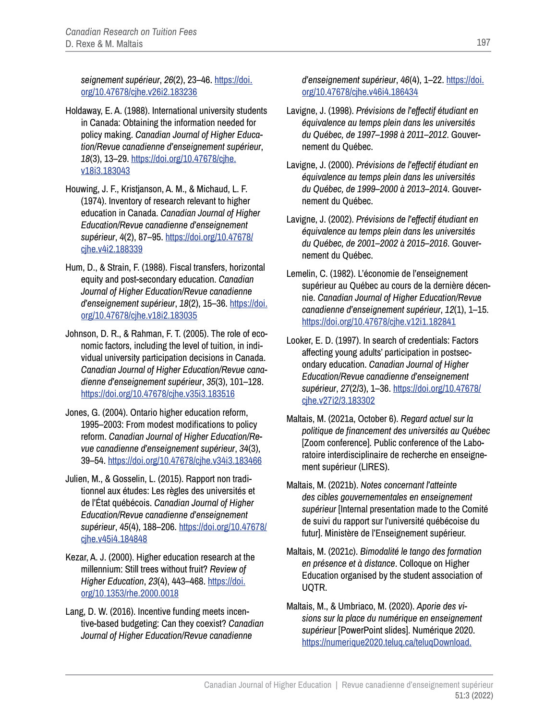*seignement supérieur*, *26*(2), 23–46. [https://doi.](https://doi.org/10.47678/cjhe.v26i2.183236) [org/10.47678/cjhe.v26i2.183236](https://doi.org/10.47678/cjhe.v26i2.183236)

- Holdaway, E. A. (1988). International university students in Canada: Obtaining the information needed for policy making. *Canadian Journal of Higher Education/Revue canadienne d'enseignement supérieur*, *18*(3), 13–29. [https://doi.org/10.47678/cjhe.](https://doi.org/10.47678/cjhe.v18i3.183043) [v18i3.183043](https://doi.org/10.47678/cjhe.v18i3.183043)
- Houwing, J. F., Kristjanson, A. M., & Michaud, L. F. (1974). Inventory of research relevant to higher education in Canada. *Canadian Journal of Higher Education/Revue canadienne d'enseignement supérieur*, *4*(2), 87–95. [https://doi.org/10.47678/](https://doi.org/10.47678/cjhe.v4i2.188339) [cjhe.v4i2.188339](https://doi.org/10.47678/cjhe.v4i2.188339)
- Hum, D., & Strain, F. (1988). Fiscal transfers, horizontal equity and post-secondary education. *Canadian Journal of Higher Education/Revue canadienne d'enseignement supérieur*, *18*(2), 15–36. [https://doi.](https://doi.org/10.47678/cjhe.v18i2.183035) [org/10.47678/cjhe.v18i2.183035](https://doi.org/10.47678/cjhe.v18i2.183035)
- Johnson, D. R., & Rahman, F. T. (2005). The role of economic factors, including the level of tuition, in individual university participation decisions in Canada. *Canadian Journal of Higher Education/Revue canadienne d'enseignement supérieur*, *35*(3), 101–128. <https://doi.org/10.47678/cjhe.v35i3.183516>
- Jones, G. (2004). Ontario higher education reform, 1995–2003: From modest modifications to policy reform. *Canadian Journal of Higher Education/Revue canadienne d'enseignement supérieur*, *34*(3), 39–54. <https://doi.org/10.47678/cjhe.v34i3.183466>
- Julien, M., & Gosselin, L. (2015). Rapport non traditionnel aux études: Les règles des universités et de l'État québécois. *Canadian Journal of Higher Education/Revue canadienne d'enseignement supérieur*, *45*(4), 188–206. [https://doi.org/10.47678/](https://doi.org/10.47678/cjhe.v45i4.184848) [cjhe.v45i4.184848](https://doi.org/10.47678/cjhe.v45i4.184848)
- Kezar, A. J. (2000). Higher education research at the millennium: Still trees without fruit? *Review of Higher Education*, *23*(4), 443–468. [https://doi.](https://doi.org/10.1353/rhe.2000.0018) [org/10.1353/rhe.2000.0018](https://doi.org/10.1353/rhe.2000.0018)
- Lang, D. W. (2016). Incentive funding meets incentive-based budgeting: Can they coexist? *Canadian Journal of Higher Education/Revue canadienne*

*d'enseignement supérieur*, *46*(4), 1–22. [https://doi.](https://doi.org/10.47678/cjhe.v46i4.186434) [org/10.47678/cjhe.v46i4.186434](https://doi.org/10.47678/cjhe.v46i4.186434)

- Lavigne, J. (1998). *Prévisions de l'effectif étudiant en équivalence au temps plein dans les universités du Québec, de 1997–1998 à 2011–2012*. Gouvernement du Québec.
- Lavigne, J. (2000). *Prévisions de l'effectif étudiant en équivalence au temps plein dans les universités du Québec, de 1999–2000 à 2013–2014*. Gouvernement du Québec.
- Lavigne, J. (2002). *Prévisions de l'effectif étudiant en équivalence au temps plein dans les universités du Québec, de 2001–2002 à 2015–2016*. Gouvernement du Québec.
- Lemelin, C. (1982). L'économie de l'enseignement supérieur au Québec au cours de la dernière décennie. *Canadian Journal of Higher Education/Revue canadienne d'enseignement supérieur*, *12*(1), 1–15. <https://doi.org/10.47678/cjhe.v12i1.182841>
- Looker, E. D. (1997). In search of credentials: Factors affecting young adults' participation in postsecondary education. *Canadian Journal of Higher Education/Revue canadienne d'enseignement supérieur*, *27*(2/3), 1–36. [https://doi.org/10.47678/](https://doi.org/10.47678/cjhe.v27i2/3.183302) [cjhe.v27i2/3.183302](https://doi.org/10.47678/cjhe.v27i2/3.183302)
- Maltais, M. (2021a, October 6). *Regard actuel sur la politique de financement des universités au Québec*  [Zoom conference]. Public conference of the Laboratoire interdisciplinaire de recherche en enseignement supérieur (LIRES).
- Maltais, M. (2021b). *Notes concernant l'atteinte des cibles gouvernementales en enseignement supérieur* [Internal presentation made to the Comité de suivi du rapport sur l'université québécoise du futur]. Ministère de l'Enseignement supérieur.
- Maltais, M. (2021c). *Bimodalité le tango des formation en présence et à distance*. Colloque on Higher Education organised by the student association of UQTR.
- Maltais, M., & Umbriaco, M. (2020). *Aporie des visions sur la place du numérique en enseignement supérieur* [PowerPoint slides]. Numérique 2020. [https://numerique2020.teluq.ca/teluqDownload.](https://numerique2020.teluq.ca/teluqDownload.php?file=2020/11/Maltais._M._Umbriaco._M._2020_Numerique_2020._2020-10-29.pdf)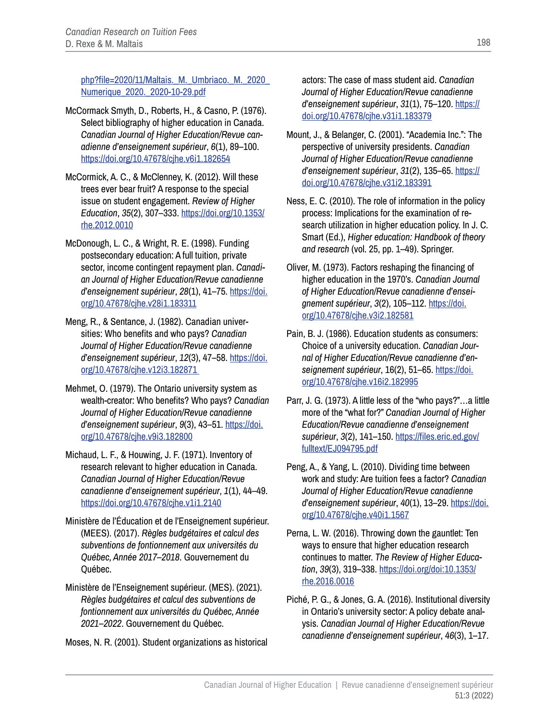php?file=2020/11/Maltais. M. Umbriaco. M. 2020 [Numerique\\_2020.\\_2020-10-29.pdf](https://numerique2020.teluq.ca/teluqDownload.php?file=2020/11/Maltais._M._Umbriaco._M._2020_Numerique_2020._2020-10-29.pdf)

- McCormack Smyth, D., Roberts, H., & Casno, P. (1976). Select bibliography of higher education in Canada. *Canadian Journal of Higher Education/Revue canadienne d'enseignement supérieur*, *6*(1), 89–100. <https://doi.org/10.47678/cjhe.v6i1.182654>
- McCormick, A. C., & McClenney, K. (2012). Will these trees ever bear fruit? A response to the special issue on student engagement. *Review of Higher Education*, *35*(2), 307–333. [https://doi.org/10.1353/](https://doi.org/10.1353/rhe.2012.0010) [rhe.2012.0010](https://doi.org/10.1353/rhe.2012.0010)
- McDonough, L. C., & Wright, R. E. (1998). Funding postsecondary education: A full tuition, private sector, income contingent repayment plan. *Canadian Journal of Higher Education/Revue canadienne d'enseignement supérieur*, *28*(1), 41–75. [https://doi.](https://doi.org/10.47678/cjhe.v28i1.183311) [org/10.47678/cjhe.v28i1.183311](https://doi.org/10.47678/cjhe.v28i1.183311)
- Meng, R., & Sentance, J. (1982). Canadian universities: Who benefits and who pays? *Canadian Journal of Higher Education/Revue canadienne d'enseignement supérieur*, *12*(3), 47–58. [https://doi.](https://doi.org/10.47678/cjhe.v12i3.182871) [org/10.47678/cjhe.v12i3.182871](https://doi.org/10.47678/cjhe.v12i3.182871)
- Mehmet, O. (1979). The Ontario university system as wealth-creator: Who benefits? Who pays? *Canadian Journal of Higher Education/Revue canadienne d'enseignement supérieur*, *9*(3), 43–51. [https://doi.](https://doi.org/10.47678/cjhe.v9i3.182800) [org/10.47678/cjhe.v9i3.182800](https://doi.org/10.47678/cjhe.v9i3.182800)
- Michaud, L. F., & Houwing, J. F. (1971). Inventory of research relevant to higher education in Canada. *Canadian Journal of Higher Education/Revue canadienne d'enseignement supérieur*, *1*(1), 44–49. <https://doi.org/10.47678/cjhe.v1i1.2140>
- Ministère de l'Éducation et de l'Enseignement supérieur. (MEES). (2017). *Règles budgétaires et calcul des subventions de fontionnement aux universités du Québec, Année 2017–2018*. Gouvernement du Québec.
- Ministère de l'Enseignement supérieur. (MES). (2021). *Règles budgétaires et calcul des subventions de fontionnement aux universités du Québec, Année 2021–2022*. Gouvernement du Québec.

Moses, N. R. (2001). Student organizations as historical

actors: The case of mass student aid. *Canadian Journal of Higher Education/Revue canadienne d'enseignement supérieur*, *31*(1), 75–120. [https://](https://doi.org/10.47678/cjhe.v31i1.183379) [doi.org/10.47678/cjhe.v31i1.183379](https://doi.org/10.47678/cjhe.v31i1.183379)

- Mount, J., & Belanger, C. (2001). "Academia Inc.": The perspective of university presidents. *Canadian Journal of Higher Education/Revue canadienne d'enseignement supérieur*, *31*(2), 135–65. [https://](https://doi.org/10.47678/cjhe.v31i2.183391) [doi.org/10.47678/cjhe.v31i2.183391](https://doi.org/10.47678/cjhe.v31i2.183391)
- Ness, E. C. (2010). The role of information in the policy process: Implications for the examination of research utilization in higher education policy. In J. C. Smart (Ed.), *Higher education: Handbook of theory and research* (vol. 25, pp. 1–49). Springer.
- Oliver, M. (1973). Factors reshaping the financing of higher education in the 1970's. *Canadian Journal of Higher Education/Revue canadienne d'enseignement supérieur*, *3*(2), 105–112. [https://doi.](https://doi.org/10.47678/cjhe.v3i2.182581) [org/10.47678/cjhe.v3i2.182581](https://doi.org/10.47678/cjhe.v3i2.182581)
- Pain, B. J. (1986). Education students as consumers: Choice of a university education. *Canadian Journal of Higher Education/Revue canadienne d'enseignement supérieur*, 16(2), 51–65. [https://doi.](https://doi.org/10.47678/cjhe.v16i2.182995) [org/10.47678/cjhe.v16i2.182995](https://doi.org/10.47678/cjhe.v16i2.182995)
- Parr, J. G. (1973). A little less of the "who pays?"…a little more of the "what for?" *Canadian Journal of Higher Education/Revue canadienne d'enseignement supérieur*, *3*(2), 141–150. [https://files.eric.ed.gov/](https://files.eric.ed.gov/fulltext/EJ094795.pdf) [fulltext/EJ094795.pdf](https://files.eric.ed.gov/fulltext/EJ094795.pdf)
- Peng, A., & Yang, L. (2010). Dividing time between work and study: Are tuition fees a factor? *Canadian Journal of Higher Education/Revue canadienne d'enseignement supérieur*, *40*(1), 13–29. [https://doi.](https://doi.org/10.47678/cjhe.v40i1.1567) [org/10.47678/cjhe.v40i1.1567](https://doi.org/10.47678/cjhe.v40i1.1567)
- Perna, L. W. (2016). Throwing down the gauntlet: Ten ways to ensure that higher education research continues to matter. *The Review of Higher Education*, *39*(3), 319–338. [https://doi.org/doi:10.1353/](https://doi.org/doi:10.1353/rhe.2016.0016) [rhe.2016.0016](https://doi.org/doi:10.1353/rhe.2016.0016)
- Piché, P. G., & Jones, G. A. (2016). Institutional diversity in Ontario's university sector: A policy debate analysis. *Canadian Journal of Higher Education/Revue canadienne d'enseignement supérieur*, *46*(3), 1–17.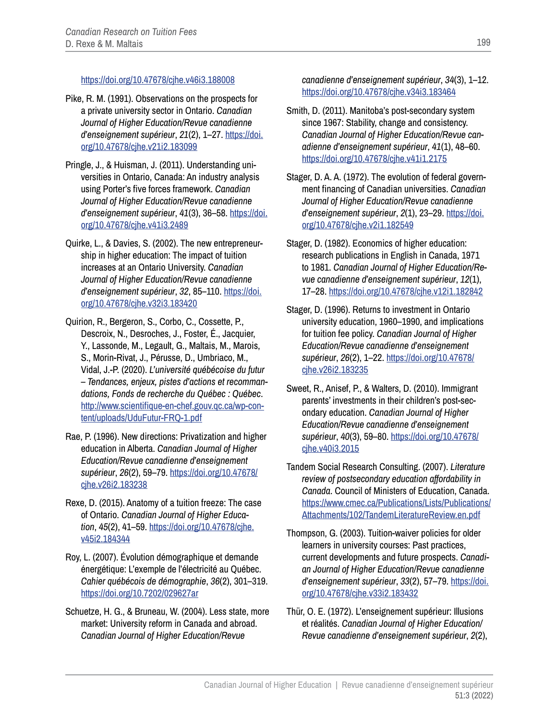#### <https://doi.org/10.47678/cjhe.v46i3.188008>

- Pike, R. M. (1991). Observations on the prospects for a private university sector in Ontario. *Canadian Journal of Higher Education/Revue canadienne d'enseignement supérieur*, *21*(2), 1–27. [https://doi.](https://doi.org/10.47678/cjhe.v21i2.183099) [org/10.47678/cjhe.v21i2.183099](https://doi.org/10.47678/cjhe.v21i2.183099)
- Pringle, J., & Huisman, J. (2011). Understanding universities in Ontario, Canada: An industry analysis using Porter's five forces framework. *Canadian Journal of Higher Education/Revue canadienne d'enseignement supérieur*, *41*(3), 36–58. [https://doi.](https://doi.org/10.47678/cjhe.v41i3.2489) [org/10.47678/cjhe.v41i3.2489](https://doi.org/10.47678/cjhe.v41i3.2489)
- Quirke, L., & Davies, S. (2002). The new entrepreneurship in higher education: The impact of tuition increases at an Ontario University. *Canadian Journal of Higher Education/Revue canadienne d'enseignement supérieur*, *32*, 85–110. [https://doi.](https://doi.org/10.47678/cjhe.v32i3.183420) [org/10.47678/cjhe.v32i3.183420](https://doi.org/10.47678/cjhe.v32i3.183420)
- Quirion, R., Bergeron, S., Corbo, C., Cossette, P., Descroix, N., Desroches, J., Foster, É., Jacquier, Y., Lassonde, M., Legault, G., Maltais, M., Marois, S., Morin-Rivat, J., Pérusse, D., Umbriaco, M., Vidal, J.-P. (2020). *L'université québécoise du futur – Tendances, enjeux, pistes d'actions et recommandations, Fonds de recherche du Québec : Québec*. [http://www.scientifique-en-chef.gouv.qc.ca/wp-con](http://www.scientifique-en-chef.gouv.qc.ca/wp-content/uploads/UduFutur-FRQ-1.pdf)[tent/uploads/UduFutur-FRQ-1.pdf](http://www.scientifique-en-chef.gouv.qc.ca/wp-content/uploads/UduFutur-FRQ-1.pdf)
- Rae, P. (1996). New directions: Privatization and higher education in Alberta. *Canadian Journal of Higher Education/Revue canadienne d'enseignement supérieur*, *26*(2), 59–79. [https://doi.org/10.47678/](https://doi.org/10.47678/cjhe.v26i2.183238) [cjhe.v26i2.183238](https://doi.org/10.47678/cjhe.v26i2.183238)
- Rexe, D. (2015). Anatomy of a tuition freeze: The case of Ontario. *Canadian Journal of Higher Education*, *45*(2), 41–59. [https://doi.org/10.47678/cjhe.](https://doi.org/10.47678/cjhe.v45i2.184344) [v45i2.184344](https://doi.org/10.47678/cjhe.v45i2.184344)
- Roy, L. (2007). Évolution démographique et demande énergétique: L'exemple de l'électricité au Québec. *Cahier québécois de démographie*, *36*(2), 301–319. <https://doi.org/10.7202/029627ar>
- Schuetze, H. G., & Bruneau, W. (2004). Less state, more market: University reform in Canada and abroad. *Canadian Journal of Higher Education/Revue*

#### *canadienne d'enseignement supérieur*, *34*(3), 1–12. <https://doi.org/10.47678/cjhe.v34i3.183464>

- Smith, D. (2011). Manitoba's post-secondary system since 1967: Stability, change and consistency. *Canadian Journal of Higher Education/Revue canadienne d'enseignement supérieur*, *41*(1), 48–60. <https://doi.org/10.47678/cjhe.v41i1.2175>
- Stager, D. A. A. (1972). The evolution of federal government financing of Canadian universities. *Canadian Journal of Higher Education/Revue canadienne d'enseignement supérieur*, *2*(1), 23–29. [https://doi.](https://doi.org/10.47678/cjhe.v2i1.182549) [org/10.47678/cjhe.v2i1.182549](https://doi.org/10.47678/cjhe.v2i1.182549)
- Stager, D. (1982). Economics of higher education: research publications in English in Canada, 1971 to 1981. *Canadian Journal of Higher Education/Revue canadienne d'enseignement supérieur*, *12*(1), 17–28. <https://doi.org/10.47678/cjhe.v12i1.182842>
- Stager, D. (1996). Returns to investment in Ontario university education, 1960–1990, and implications for tuition fee policy. *Canadian Journal of Higher Education/Revue canadienne d'enseignement supérieur*, *26*(2), 1–22. [https://doi.org/10.47678/](https://doi.org/10.47678/cjhe.v26i2.183235) [cjhe.v26i2.183235](https://doi.org/10.47678/cjhe.v26i2.183235)
- Sweet, R., Anisef, P., & Walters, D. (2010). Immigrant parents' investments in their children's post-secondary education. *Canadian Journal of Higher Education/Revue canadienne d'enseignement supérieur*, *40*(3), 59–80. [https://doi.org/10.47678/](https://doi.org/10.47678/cjhe.v40i3.2015) [cjhe.v40i3.2015](https://doi.org/10.47678/cjhe.v40i3.2015)
- Tandem Social Research Consulting. (2007). *Literature review of postsecondary education affordability in Canada*. Council of Ministers of Education, Canada. [https://www.cmec.ca/Publications/Lists/Publications/](https://www.cmec.ca/Publications/Lists/Publications/Attachments/102/TandemLiteratureReview.en.pdf) [Attachments/102/TandemLiteratureReview.en.pdf](https://www.cmec.ca/Publications/Lists/Publications/Attachments/102/TandemLiteratureReview.en.pdf)
- Thompson, G. (2003). Tuition-waiver policies for older learners in university courses: Past practices, current developments and future prospects. *Canadian Journal of Higher Education/Revue canadienne d'enseignement supérieur*, *33*(2), 57–79. [https://doi.](https://doi.org/10.47678/cjhe.v33i2.183432) [org/10.47678/cjhe.v33i2.183432](https://doi.org/10.47678/cjhe.v33i2.183432)
- Thür, O. E. (1972). L'enseignement supérieur: Illusions et réalités. *Canadian Journal of Higher Education/ Revue canadienne d'enseignement supérieur*, *2*(2),